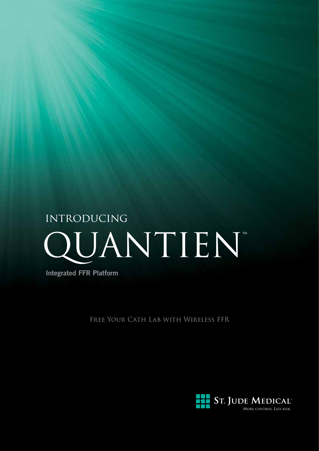# QUANTIEN **INTRODUCING**

**Integrated FFR Platform**

FREE YOUR CATH LAB WITH WIRELESS FFR

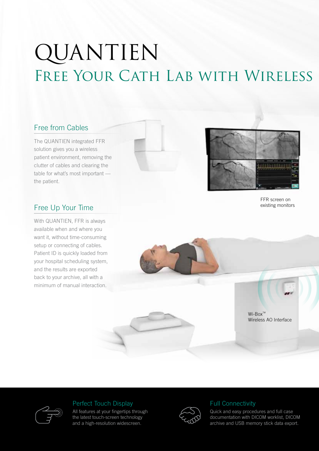# QUANTIEN FREE YOUR CATH LAB WITH WIRELESS

# Free from Cables

The QUANTIEN integrated FFR solution gives you a wireless patient environment, removing the clutter of cables and clearing the table for what's most important the patient.





FFR screen on existing monitors

# Free Up Your Time

With QUANTIEN, FFR is always available when and where you want it, without time-consuming setup or connecting of cables. Patient ID is quickly loaded from your hospital scheduling system, and the results are exported back to your archive, all with a minimum of manual interaction.



 $Wi-Box^{\text{TM}}$ Wireless AO Interface



### Perfect Touch Display

All features at your fingertips through the latest touch-screen technology and a high-resolution widescreen.



### Full Connectivity

Quick and easy procedures and full case documentation with DICOM worklist, DICOM archive and USB memory stick data export.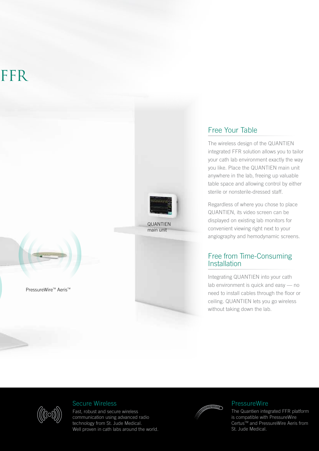# FFR<sub></sub>



QUANTIEN main unit

### Free Your Table

The wireless design of the QUANTIEN integrated FFR solution allows you to tailor your cath lab environment exactly the way you like. Place the QUANTIEN main unit anywhere in the lab, freeing up valuable table space and allowing control by either sterile or nonsterile-dressed staff.

Regardless of where you chose to place QUANTIEN, its video screen can be displayed on existing lab monitors for convenient viewing right next to your angiography and hemodynamic screens.

### Free from Time-Consuming **Installation**

Integrating QUANTIEN into your cath lab environment is quick and easy — no need to install cables through the floor or ceiling. QUANTIEN lets you go wireless without taking down the lab.

PressureWire<sup>™</sup> Aeris™

### Secure Wireless

Fast, robust and secure wireless communication using advanced radio technology from St. Jude Medical. Well proven in cath labs around the world.



### **PressureWire**

The Quantien integrated FFR platform is compatible with PressureWire Certus™ and PressureWire Aeris from St. Jude Medical.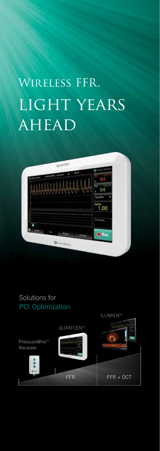# LIGHT YEARS AHEAD Wireless FFR.



## Solutions for PCI Optimization



ILUMIENTM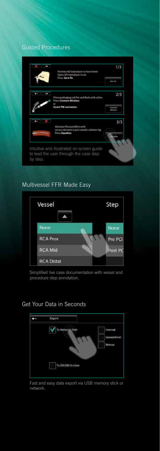### Guided Procedures



### Multivessel FFR Made Easy



Simplified live case documentation with vessel and procedure step annotation.

### Get Your Data in Seconds



Fast and easy data export via USB memory stick or network.